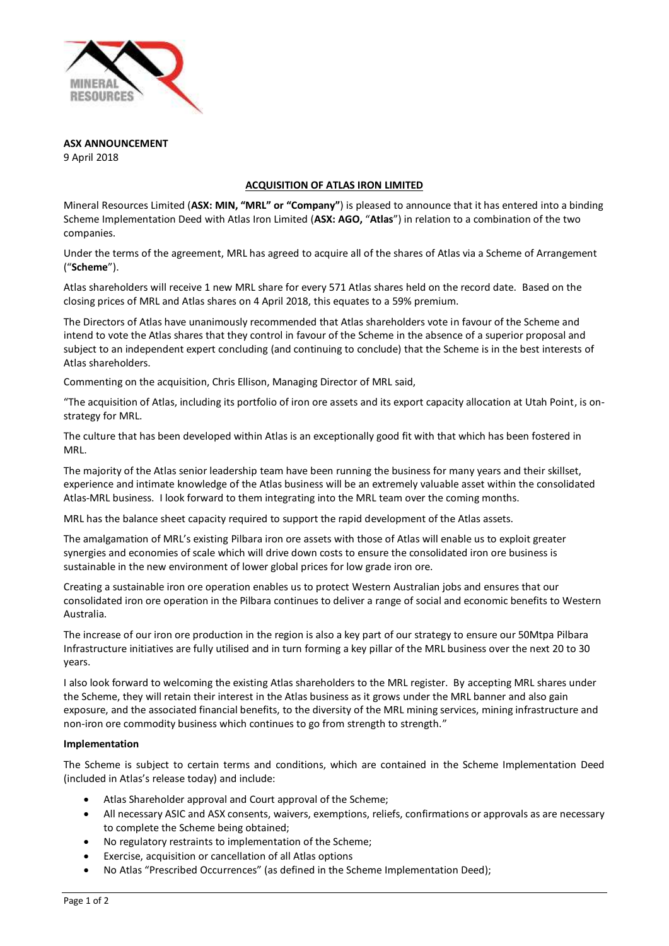

**ASX ANNOUNCEMENT**

9 April 2018

# **ACQUISITION OF ATLAS IRON LIMITED**

Mineral Resources Limited (**ASX: MIN, "MRL" or "Company"**) is pleased to announce that it has entered into a binding Scheme Implementation Deed with Atlas Iron Limited (**ASX: AGO,** "**Atlas**") in relation to a combination of the two companies.

Under the terms of the agreement, MRL has agreed to acquire all of the shares of Atlas via a Scheme of Arrangement ("**Scheme**").

Atlas shareholders will receive 1 new MRL share for every 571 Atlas shares held on the record date. Based on the closing prices of MRL and Atlas shares on 4 April 2018, this equates to a 59% premium.

The Directors of Atlas have unanimously recommended that Atlas shareholders vote in favour of the Scheme and intend to vote the Atlas shares that they control in favour of the Scheme in the absence of a superior proposal and subject to an independent expert concluding (and continuing to conclude) that the Scheme is in the best interests of Atlas shareholders.

Commenting on the acquisition, Chris Ellison, Managing Director of MRL said,

"The acquisition of Atlas, including its portfolio of iron ore assets and its export capacity allocation at Utah Point, is onstrategy for MRL.

The culture that has been developed within Atlas is an exceptionally good fit with that which has been fostered in MRL.

The majority of the Atlas senior leadership team have been running the business for many years and their skillset, experience and intimate knowledge of the Atlas business will be an extremely valuable asset within the consolidated Atlas-MRL business. I look forward to them integrating into the MRL team over the coming months.

MRL has the balance sheet capacity required to support the rapid development of the Atlas assets.

The amalgamation of MRL's existing Pilbara iron ore assets with those of Atlas will enable us to exploit greater synergies and economies of scale which will drive down costs to ensure the consolidated iron ore business is sustainable in the new environment of lower global prices for low grade iron ore.

Creating a sustainable iron ore operation enables us to protect Western Australian jobs and ensures that our consolidated iron ore operation in the Pilbara continues to deliver a range of social and economic benefits to Western Australia.

The increase of our iron ore production in the region is also a key part of our strategy to ensure our 50Mtpa Pilbara Infrastructure initiatives are fully utilised and in turn forming a key pillar of the MRL business over the next 20 to 30 years.

I also look forward to welcoming the existing Atlas shareholders to the MRL register. By accepting MRL shares under the Scheme, they will retain their interest in the Atlas business as it grows under the MRL banner and also gain exposure, and the associated financial benefits, to the diversity of the MRL mining services, mining infrastructure and non-iron ore commodity business which continues to go from strength to strength."

# **Implementation**

The Scheme is subject to certain terms and conditions, which are contained in the Scheme Implementation Deed (included in Atlas's release today) and include:

- Atlas Shareholder approval and Court approval of the Scheme;
- All necessary ASIC and ASX consents, waivers, exemptions, reliefs, confirmations or approvals as are necessary to complete the Scheme being obtained;
- No regulatory restraints to implementation of the Scheme;
- Exercise, acquisition or cancellation of all Atlas options
- No Atlas "Prescribed Occurrences" (as defined in the Scheme Implementation Deed);